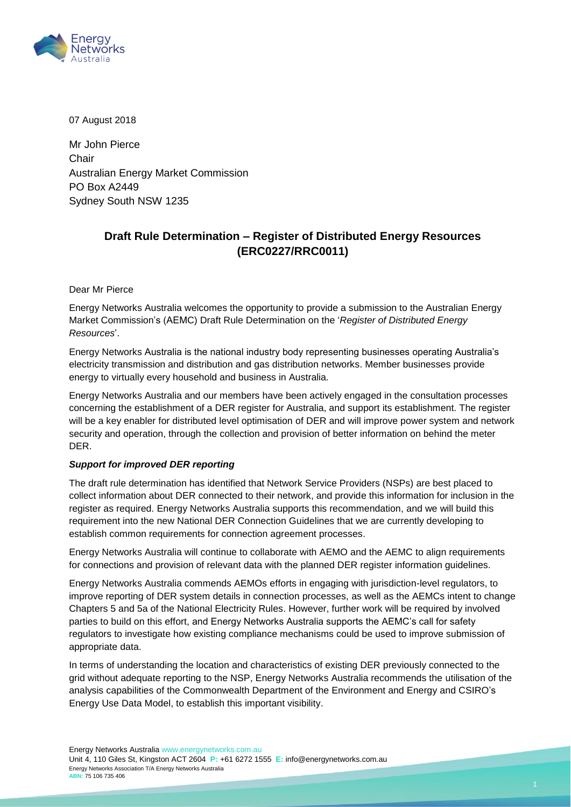

07 August 2018

Mr John Pierce Chair Australian Energy Market Commission PO Box A2449 Sydney South NSW 1235

## **Draft Rule Determination – Register of Distributed Energy Resources (ERC0227/RRC0011)**

Dear Mr Pierce

Energy Networks Australia welcomes the opportunity to provide a submission to the Australian Energy Market Commission's (AEMC) Draft Rule Determination on the '*Register of Distributed Energy Resources*'.

Energy Networks Australia is the national industry body representing businesses operating Australia's electricity transmission and distribution and gas distribution networks. Member businesses provide energy to virtually every household and business in Australia.

Energy Networks Australia and our members have been actively engaged in the consultation processes concerning the establishment of a DER register for Australia, and support its establishment. The register will be a key enabler for distributed level optimisation of DER and will improve power system and network security and operation, through the collection and provision of better information on behind the meter DER.

## *Support for improved DER reporting*

The draft rule determination has identified that Network Service Providers (NSPs) are best placed to collect information about DER connected to their network, and provide this information for inclusion in the register as required. Energy Networks Australia supports this recommendation, and we will build this requirement into the new National DER Connection Guidelines that we are currently developing to establish common requirements for connection agreement processes.

Energy Networks Australia will continue to collaborate with AEMO and the AEMC to align requirements for connections and provision of relevant data with the planned DER register information guidelines.

Energy Networks Australia commends AEMOs efforts in engaging with jurisdiction-level regulators, to improve reporting of DER system details in connection processes, as well as the AEMCs intent to change Chapters 5 and 5a of the National Electricity Rules. However, further work will be required by involved parties to build on this effort, and Energy Networks Australia supports the AEMC's call for safety regulators to investigate how existing compliance mechanisms could be used to improve submission of appropriate data.

In terms of understanding the location and characteristics of existing DER previously connected to the grid without adequate reporting to the NSP, Energy Networks Australia recommends the utilisation of the analysis capabilities of the Commonwealth Department of the Environment and Energy and CSIRO's Energy Use Data Model, to establish this important visibility.